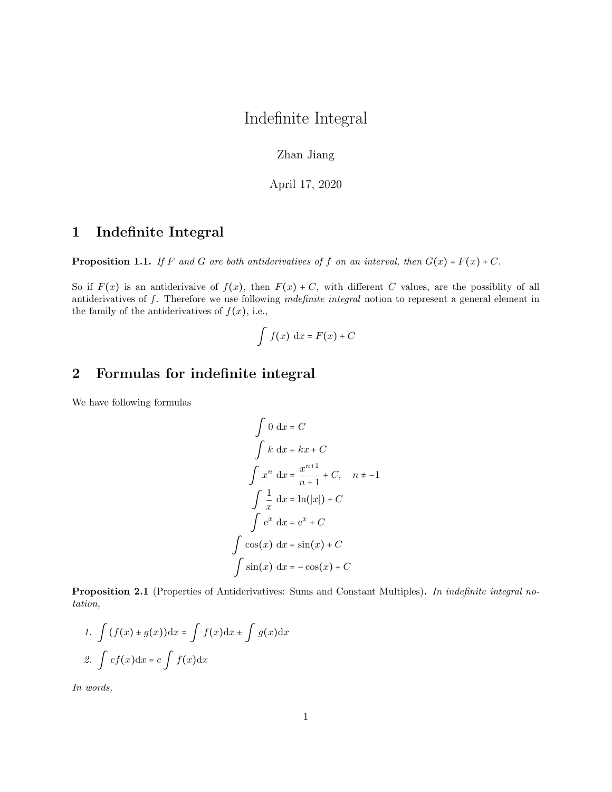## Indefinite Integral

Zhan Jiang

April 17, 2020

## 1 Indefinite Integral

**Proposition 1.1.** If F and G are both antiderivatives of f on an interval, then  $G(x) = F(x) + C$ .

So if  $F(x)$  is an antiderivaive of  $f(x)$ , then  $F(x) + C$ , with different C values, are the possiblity of all antiderivatives of f. Therefore we use following indefinite integral notion to represent a general element in the family of the antiderivatives of  $f(x)$ , i.e.,

$$
\int f(x) \, \mathrm{d}x = F(x) + C
$$

## 2 Formulas for indefinite integral

We have following formulas

$$
\int 0 \, dx = C
$$
  

$$
\int k \, dx = kx + C
$$
  

$$
\int x^n \, dx = \frac{x^{n+1}}{n+1} + C, \quad n \neq -1
$$
  

$$
\int \frac{1}{x} \, dx = \ln(|x|) + C
$$
  

$$
\int e^x \, dx = e^x + C
$$
  

$$
\int \cos(x) \, dx = \sin(x) + C
$$
  

$$
\int \sin(x) \, dx = -\cos(x) + C
$$

Proposition 2.1 (Properties of Antiderivatives: Sums and Constant Multiples). In indefinite integral notation,

1. 
$$
\int (f(x) \pm g(x)) dx = \int f(x) dx \pm \int g(x) dx
$$
  
2. 
$$
\int cf(x) dx = c \int f(x) dx
$$

In words,